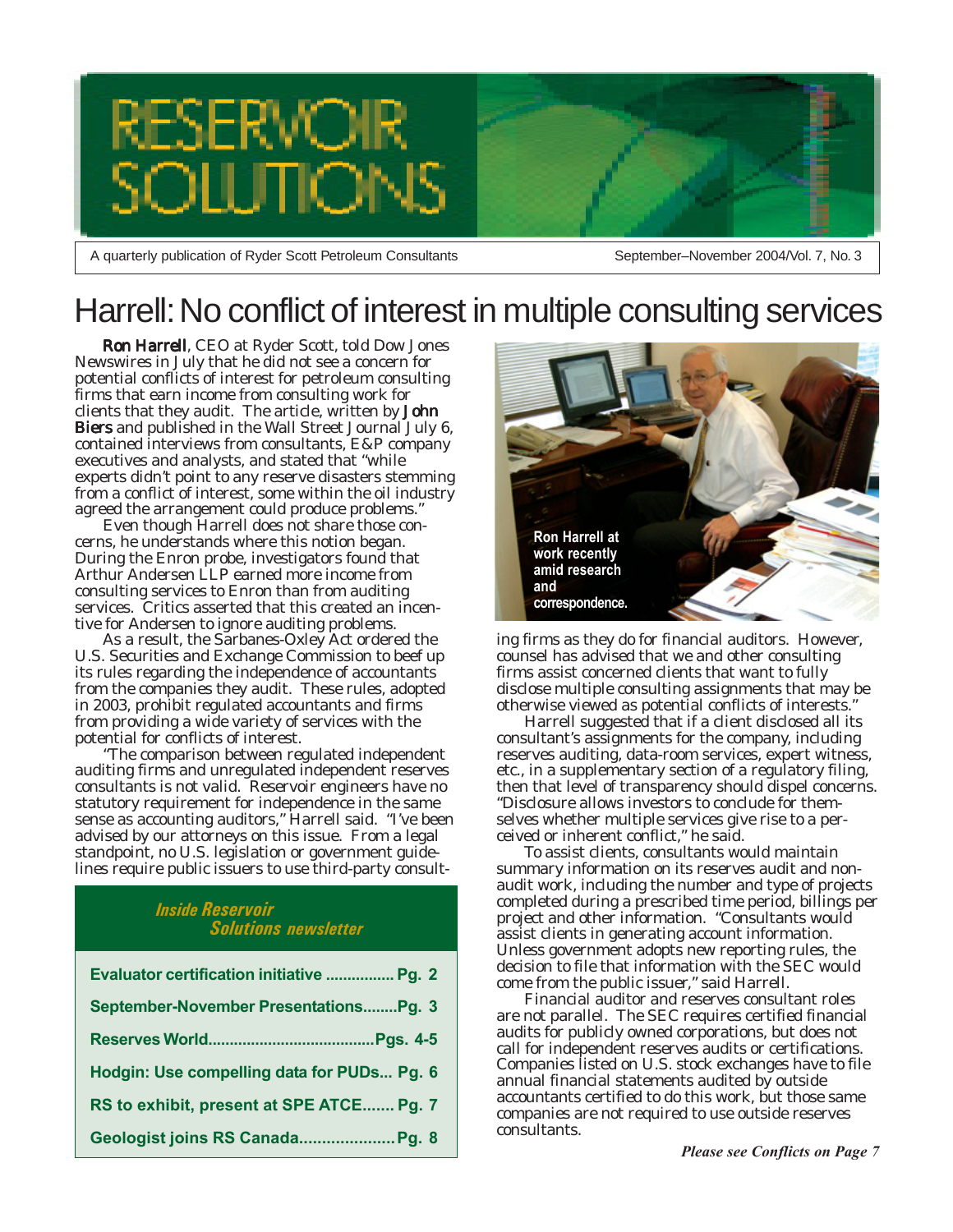

A quarterly publication of Ryder Scott Petroleum Consultants

September–November 2004/Vol. 7, No. 3

## Harrell: No conflict of interest in multiple consulting services

Ron Harrell, CEO at Ryder Scott, told *Dow Jones Newswires* in July that he did not see a concern for potential conflicts of interest for petroleum consulting firms that earn income from consulting work for clients that they audit. The article, written by John Biers and published in the *Wall Street Journal* July 6, contained interviews from consultants, E&P company executives and analysts, and stated that "while experts didn't point to any reserve disasters stemming from a conflict of interest, some within the oil industry agreed the arrangement could produce problems."

Even though Harrell does not share those concerns, he understands where this notion began. During the Enron probe, investigators found that Arthur Andersen LLP earned more income from consulting services to Enron than from auditing services. Critics asserted that this created an incentive for Andersen to ignore auditing problems.

As a result, the Sarbanes-Oxley Act ordered the U.S. Securities and Exchange Commission to beef up its rules regarding the independence of accountants from the companies they audit. These rules, adopted in 2003, prohibit regulated accountants and firms from providing a wide variety of services with the potential for conflicts of interest.

"The comparison between regulated independent auditing firms and unregulated independent reserves consultants is not valid. Reservoir engineers have no statutory requirement for independence in the same sense as accounting auditors," Harrell said. "I've been advised by our attorneys on this issue. From a legal standpoint, no U.S. legislation or government guidelines require public issuers to use third-party consult-

### *Inside Reservoir Solutions newsletter*

| Evaluator certification initiative  Pg. 2  |
|--------------------------------------------|
| September-November PresentationsPg. 3      |
|                                            |
| Hodgin: Use compelling data for PUDs Pg. 6 |
| RS to exhibit, present at SPE ATCE Pg. 7   |
| Geologist joins RS Canada Pg. 8            |



ing firms as they do for financial auditors. However, counsel has advised that we and other consulting firms assist concerned clients that want to fully disclose multiple consulting assignments that may be otherwise viewed as potential conflicts of interests."

consultant's assignments for the company, including<br>reconsecutivities, data responses available vitage Harrell suggested that if a client disclosed all its reserves auditing, data-room services, expert witness, etc., in a supplementary section of a regulatory filing, then that level of transparency should dispel concerns. "Disclosure allows investors to conclude for themselves whether multiple services give rise to a perceived or inherent conflict," he said.

To assist clients, consultants would maintain summary information on its reserves audit and nonaudit work, including the number and type of projects completed during a prescribed time period, billings per project and other information. "Consultants would assist clients in generating account information. Unless government adopts new reporting rules, the decision to file that information with the SEC would come from the public issuer," said Harrell.

Financial auditor and reserves consultant roles are not parallel. The SEC requires certified financial audits for publicly owned corporations, but does not call for independent reserves audits or certifications. Companies listed on U.S. stock exchanges have to file annual financial statements audited by outside accountants certified to do this work, but those same companies are not required to use outside reserves consultants.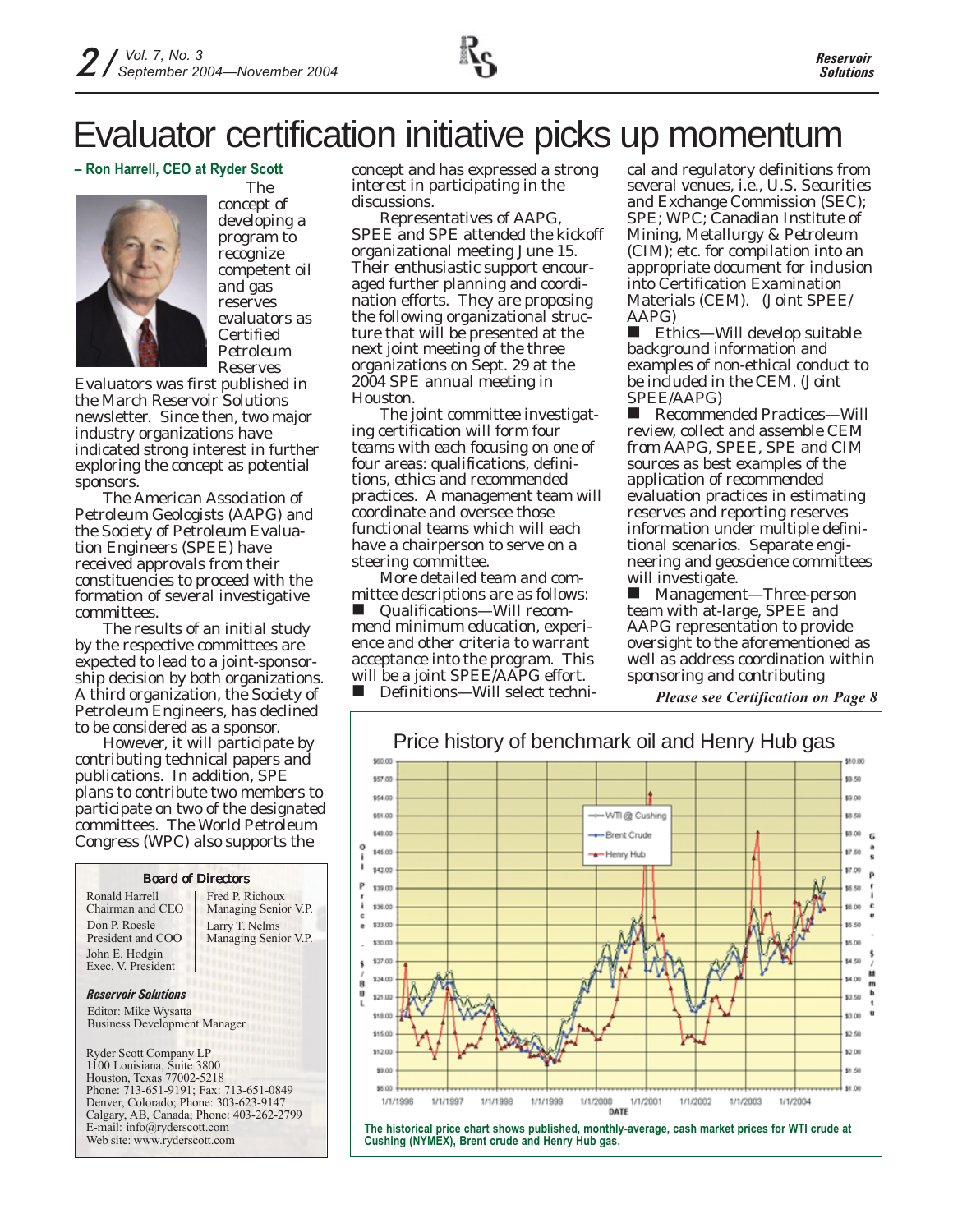# Evaluator certification initiative picks up momentum

### **– Ron Harrell, CEO at Ryder Scott**



The concept of developing a program to recognize competent oil and gas reserves evaluators as Certified Petroleum Reserves

Evaluators was first published in the March *Reservoir Solutions* newsletter. Since then, two major industry organizations have indicated strong interest in further exploring the concept as potential sponsors.

The American Association of Petroleum Geologists (AAPG) and the Society of Petroleum Evaluation Engineers (SPEE) have received approvals from their constituencies to proceed with the formation of several investigative committees.

The results of an initial study by the respective committees are expected to lead to a joint-sponsorship decision by both organizations. A third organization, the Society of Petroleum Engineers, has declined to be considered as a sponsor.

However, it will participate by contributing technical papers and publications. In addition, SPE plans to contribute two members to participate on two of the designated committees. The World Petroleum Congress (WPC) also supports the



concept and has expressed a strong interest in participating in the discussions.

Representatives of AAPG, SPEE and SPE attended the kickoff organizational meeting June 15. Their enthusiastic support encouraged further planning and coordination efforts. They are proposing the following organizational structure that will be presented at the next joint meeting of the three organizations on Sept. 29 at the 2004 SPE annual meeting in Houston.

The joint committee investigating certification will form four teams with each focusing on one of four areas: qualifications, definitions, ethics and recommended practices. A management team will coordinate and oversee those functional teams which will each have a chairperson to serve on a steering committee.

More detailed team and committee descriptions are as follows:

■ Qualifications—Will recommend minimum education, experience and other criteria to warrant acceptance into the program. This will be a joint SPEE/AAPG effort.

■ Definitions—Will select techni-

cal and regulatory definitions from several venues, i.e., U.S. Securities and Exchange Commission (SEC); SPE; WPC; Canadian Institute of Mining, Metallurgy & Petroleum (CIM); etc. for compilation into an appropriate document for inclusion into Certification Examination Materials (CEM). (Joint SPEE/ AAPG)

 Ethics—Will develop suitable background information and examples of non-ethical conduct to be included in the CEM. (Joint SPEE/AAPG)

 Recommended Practices—Will review, collect and assemble CEM from AAPG, SPEE, SPE and CIM sources as best examples of the application of recommended evaluation practices in estimating reserves and reporting reserves information under multiple definitional scenarios. Separate engineering and geoscience committees will investigate.

■ Management—Three-person team with at-large, SPEE and AAPG representation to provide oversight to the aforementioned as well as address coordination within sponsoring and contributing

*Please see Certification on Page 8*



**The historical price chart shows published, monthly-average, cash market prices for WTI crude at Cushing (NYMEX), Brent crude and Henry Hub gas.**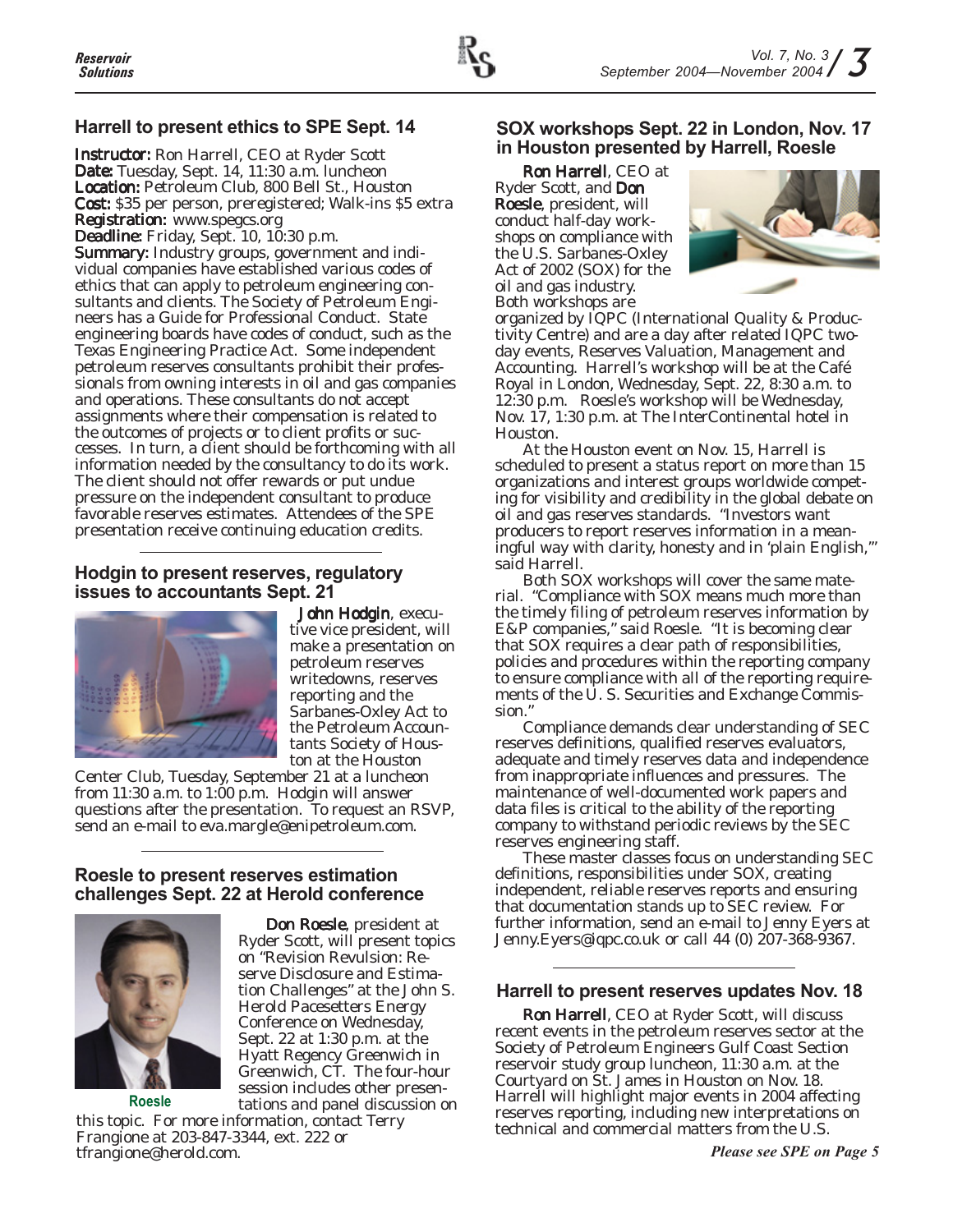## **Harrell to present ethics to SPE Sept. 14**

Instructor: Ron Harrell, CEO at Ryder Scott Date: Tuesday, Sept. 14, 11:30 a.m. luncheon Location: Petroleum Club, 800 Bell St., Houston Cost: \$35 per person, preregistered; Walk-ins \$5 extra **Registration: www.spegcs.org** 

Deadline: Friday, Sept. 10, 10:30 p.m.

Summary: Industry groups, government and individual companies have established various codes of ethics that can apply to petroleum engineering consultants and clients. The Society of Petroleum Engineers has a Guide for Professional Conduct. State engineering boards have codes of conduct, such as the Texas Engineering Practice Act. Some independent petroleum reserves consultants prohibit their professionals from owning interests in oil and gas companies and operations. These consultants do not accept assignments where their compensation is related to the outcomes of projects or to client profits or successes. In turn, a client should be forthcoming with all information needed by the consultancy to do its work. The client should not offer rewards or put undue pressure on the independent consultant to produce favorable reserves estimates. Attendees of the SPE presentation receive continuing education credits.

## **Hodgin to present reserves, regulatory issues to accountants Sept. 21**



John Hodgin, executive vice president, will make a presentation on petroleum reserves writedowns, reserves reporting and the Sarbanes-Oxley Act to the Petroleum Accountants Society of Houston at the Houston

Center Club, Tuesday, September 21 at a luncheon from 11:30 a.m. to 1:00 p.m. Hodgin will answer questions after the presentation. To request an RSVP, send an e-mail to eva.margle@enipetroleum.com.

## **Roesle to present reserves estimation challenges Sept. 22 at Herold conference**



**Roesle**

Don Roesle, president at Ryder Scott, will present topics on "Revision Revulsion: Reserve Disclosure and Estimation Challenges" at the John S. Herold Pacesetters Energy Conference on Wednesday, Sept. 22 at 1:30 p.m. at the Hyatt Regency Greenwich in Greenwich, CT. The four-hour session includes other presentations and panel discussion on

this topic. For more information, contact Terry Frangione at 203-847-3344, ext. 222 or tfrangione@herold.com.

## **SOX workshops Sept. 22 in London, Nov. 17 in Houston presented by Harrell, Roesle**

Ron Harrell, CEO at Ryder Scott, and Don Roesle, president, will conduct half-day workshops on compliance with the U.S. Sarbanes-Oxley Act of 2002 (SOX) for the oil and gas industry. Both workshops are



organized by IQPC (International Quality & Productivity Centre) and are a day after related IQPC twoday events, Reserves Valuation, Management and Accounting. Harrell's workshop will be at the Café Royal in London, Wednesday, Sept. 22, 8:30 a.m. to 12:30 p.m. Roesle's workshop will be Wednesday, Nov. 17, 1:30 p.m. at The InterContinental hotel in Houston.

At the Houston event on Nov. 15, Harrell is scheduled to present a status report on more than 15 organizations and interest groups worldwide competing for visibility and credibility in the global debate on oil and gas reserves standards. "Investors want producers to report reserves information in a meaningful way with clarity, honesty and in 'plain English,'" said Harrell.

Both SOX workshops will cover the same material. "Compliance with SOX means much more than the timely filing of petroleum reserves information by E&P companies," said Roesle. "It is becoming clear that SOX requires a clear path of responsibilities, policies and procedures within the reporting company to ensure compliance with all of the reporting requirements of the U. S. Securities and Exchange Commission."

Compliance demands clear understanding of SEC reserves definitions, qualified reserves evaluators, adequate and timely reserves data and independence from inappropriate influences and pressures. The maintenance of well-documented work papers and data files is critical to the ability of the reporting company to withstand periodic reviews by the SEC reserves engineering staff.

These master classes focus on understanding SEC definitions, responsibilities under SOX, creating independent, reliable reserves reports and ensuring that documentation stands up to SEC review. For further information, send an e-mail to Jenny Eyers at Jenny.Eyers@iqpc.co.uk or call 44 (0) 207-368-9367.

## **Harrell to present reserves updates Nov. 18**

Ron Harrell, CEO at Ryder Scott, will discuss recent events in the petroleum reserves sector at the Society of Petroleum Engineers Gulf Coast Section reservoir study group luncheon, 11:30 a.m. at the Courtyard on St. James in Houston on Nov. 18. Harrell will highlight major events in 2004 affecting reserves reporting, including new interpretations on technical and commercial matters from the U.S.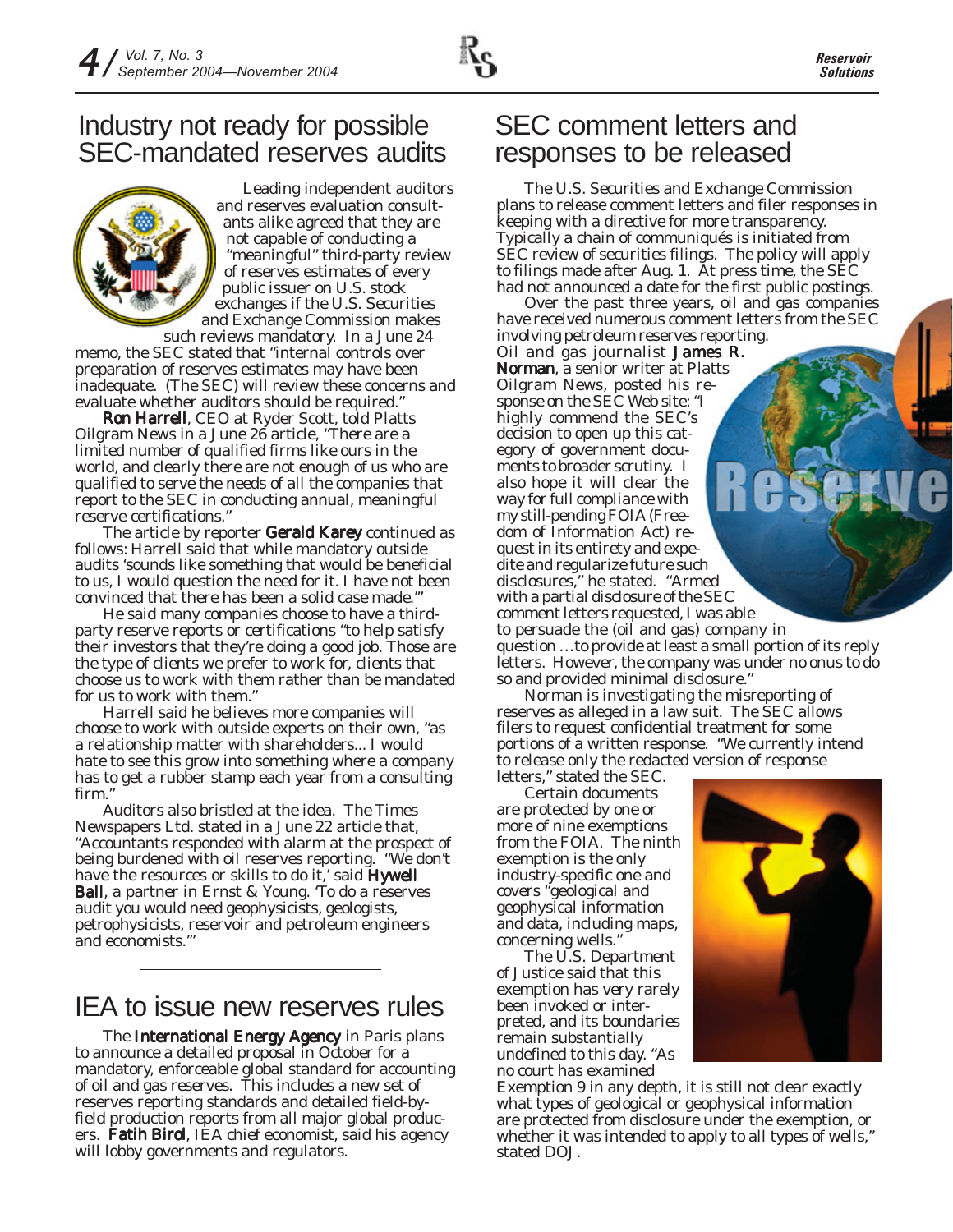## Industry not ready for possible SEC-mandated reserves audits

Leading independent auditors and reserves evaluation consultants alike agreed that they are not capable of conducting a "meaningful" third-party review of reserves estimates of every public issuer on U.S. stock exchanges if the U.S. Securities and Exchange Commission makes such reviews mandatory. In a June 24

memo, the SEC stated that "internal controls over preparation of reserves estimates may have been inadequate. (The SEC) will review these concerns and evaluate whether auditors should be required."

Ron Harrell, CEO at Ryder Scott, told *Platts Oilgram News* in a June 26 article, "There are a limited number of qualified firms like ours in the world, and clearly there are not enough of us who are qualified to serve the needs of all the companies that report to the SEC in conducting annual, meaningful reserve certifications."

The article by reporter Gerald Karey continued as follows: *Harrell said that while mandatory outside audits 'sounds like something that would be beneficial to us, I would question the need for it. I have not been convinced that there has been a solid case made.'"*

*He said many companies choose to have a thirdparty reserve reports or certifications "to help satisfy their investors that they're doing a good job. Those are the type of clients we prefer to work for, clients that choose us to work with them rather than be mandated for us to work with them."*

*Harrell said he believes more companies will choose to work with outside experts on their own, "as a relationship matter with shareholders... I would hate to see this grow into something where a company has to get a rubber stamp each year from a consulting firm."*

Auditors also bristled at the idea. *The Times Newspapers Ltd.* stated in a June 22 article that, "Accountants responded with alarm at the prospect of being burdened with oil reserves reporting. "We don't have the resources or skills to do it,' said Hywell Ball, a partner in Ernst & Young. 'To do a reserves audit you would need geophysicists, geologists, petrophysicists, reservoir and petroleum engineers and economists.'"

## IEA to issue new reserves rules

The International Energy Agency in Paris plans to announce a detailed proposal in October for a mandatory, enforceable global standard for accounting of oil and gas reserves. This includes a new set of reserves reporting standards and detailed field-byfield production reports from all major global producers. Fatih Birol, IEA chief economist, said his agency will lobby governments and regulators.

## SEC comment letters and responses to be released

The U.S. Securities and Exchange Commission plans to release comment letters and filer responses in keeping with a directive for more transparency. Typically a chain of communiqués is initiated from SEC review of securities filings. The policy will apply to filings made after Aug. 1. At press time, the SEC had not announced a date for the first public postings.

Over the past three years, oil and gas companies have received numerous comment letters from the SEC involving petroleum reserves reporting.

Oil and gas journalist James R. Norman, a senior writer at *Platts Oilgram News*, posted his response on the SEC Web site: "I highly commend the SEC's decision to open up this category of government documents to broader scrutiny. I also hope it will clear the way for full compliance with my still-pending FOIA (Freedom of Information Act) request in its entirety and expedite and regularize future such disclosures," he stated. "Armed with a partial disclosure of the SEC comment letters requested, I was able to persuade the (oil and gas) company in question …to provide at least a small portion of its reply letters. However, the company was under no onus to do so and provided minimal disclosure."

Norman is investigating the misreporting of reserves as alleged in a law suit. The SEC allows filers to request confidential treatment for some portions of a written response. "We currently intend to release only the redacted version of response letters," stated the SEC.

Certain documents are protected by one or more of nine exemptions from the FOIA. The ninth exemption is the only industry-specific one and covers "geological and geophysical information and data, including maps, concerning wells."

The U.S. Department of Justice said that this exemption has very rarely been invoked or interpreted, and its boundaries remain substantially undefined to this day. "As no court has examined



Exemption 9 in any depth, it is still not clear exactly what types of geological or geophysical information are protected from disclosure under the exemption, or whether it was intended to apply to all types of wells," stated DOJ.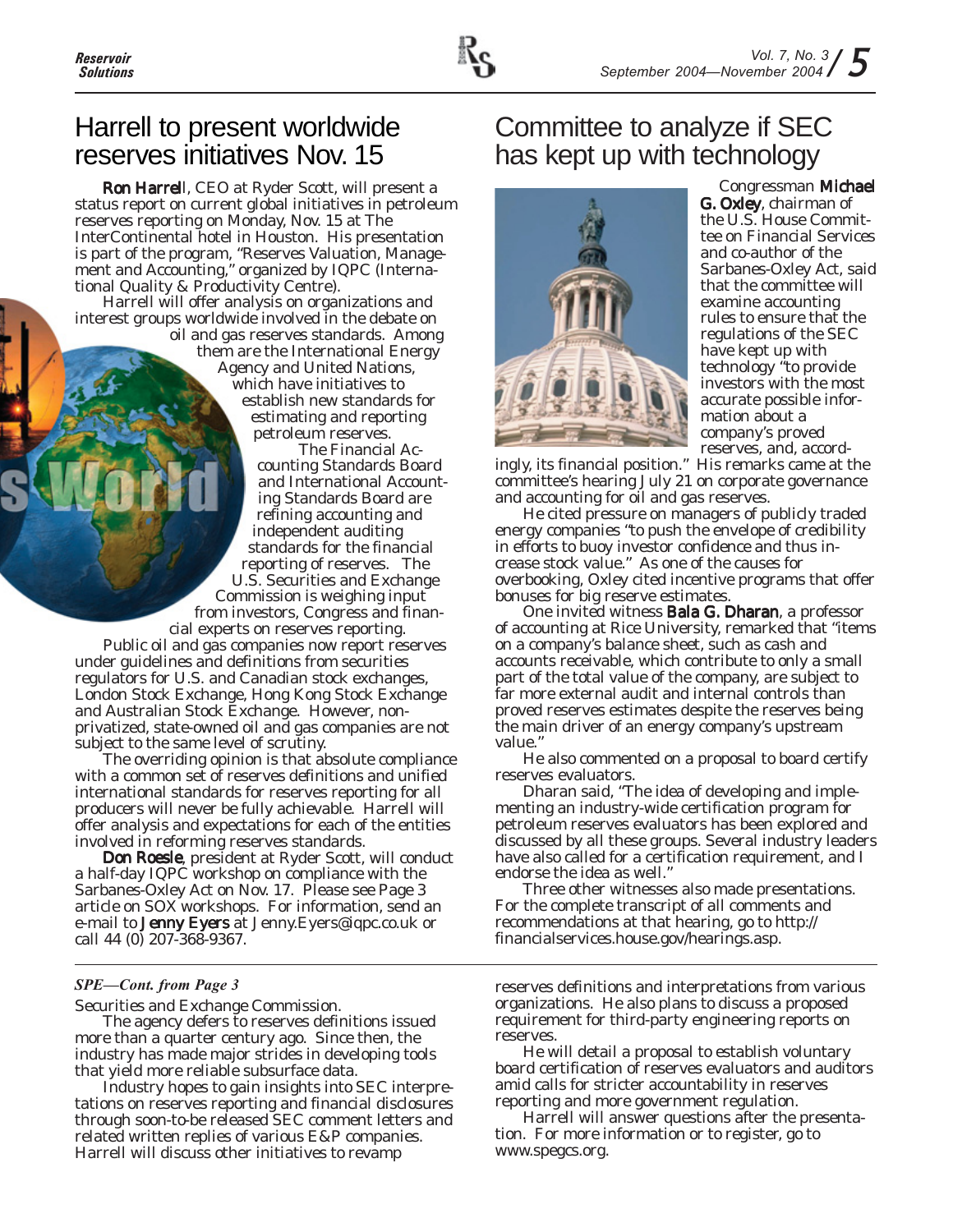

## Harrell to present worldwide reserves initiatives Nov. 15

Ron Harrell, CEO at Ryder Scott, will present a status report on current global initiatives in petroleum reserves reporting on Monday, Nov. 15 at The InterContinental hotel in Houston. His presentation is part of the program, "Reserves Valuation, Management and Accounting," organized by IQPC (International Quality & Productivity Centre).

Harrell will offer analysis on organizations and interest groups worldwide involved in the debate on oil and gas reserves standards. Among

them are the International Energy Agency and United Nations, which have initiatives to establish new standards for estimating and reporting petroleum reserves.

The Financial Accounting Standards Board and International Accounting Standards Board are refining accounting and independent auditing standards for the financial reporting of reserves. The U.S. Securities and Exchange Commission is weighing input from investors, Congress and financial experts on reserves reporting.

Public oil and gas companies now report reserves under guidelines and definitions from securities regulators for U.S. and Canadian stock exchanges, London Stock Exchange, Hong Kong Stock Exchange and Australian Stock Exchange. However, nonprivatized, state-owned oil and gas companies are not subject to the same level of scrutiny.

The overriding opinion is that absolute compliance with a common set of reserves definitions and unified international standards for reserves reporting for all producers will never be fully achievable. Harrell will offer analysis and expectations for each of the entities involved in reforming reserves standards.

Don Roesle, president at Ryder Scott, will conduct a half-day IQPC workshop on compliance with the Sarbanes-Oxley Act on Nov. 17. Please see Page 3 article on SOX workshops. For information, send an e-mail to Jenny Eyers at Jenny.Eyers@iqpc.co.uk or call 44 (0) 207-368-9367.

#### *SPE—Cont. from Page 3*

Securities and Exchange Commission.

The agency defers to reserves definitions issued more than a quarter century ago. Since then, the industry has made major strides in developing tools that yield more reliable subsurface data.

Industry hopes to gain insights into SEC interpretations on reserves reporting and financial disclosures through soon-to-be released SEC comment letters and related written replies of various E&P companies. Harrell will discuss other initiatives to revamp

## Committee to analyze if SEC has kept up with technology



Congressman Michael **G. Oxley, chairman of** the U.S. House Committee on Financial Services and co-author of the Sarbanes-Oxley Act, said that the committee will examine accounting rules to ensure that the regulations of the SEC have kept up with technology "to provide investors with the most accurate possible information about a company's proved reserves, and, accord-

ingly, its financial position." His remarks came at the committee's hearing July 21 on corporate governance and accounting for oil and gas reserves.

He cited pressure on managers of publicly traded energy companies "to push the envelope of credibility in efforts to buoy investor confidence and thus increase stock value." As one of the causes for overbooking, Oxley cited incentive programs that offer bonuses for big reserve estimates.

One invited witness **Bala G. Dharan**, a professor of accounting at Rice University, remarked that "items on a company's balance sheet, such as cash and accounts receivable, which contribute to only a small part of the total value of the company, are subject to far more external audit and internal controls than proved reserves estimates despite the reserves being the main driver of an energy company's upstream value."

He also commented on a proposal to board certify reserves evaluators.

Dharan said, "The idea of developing and implementing an industry-wide certification program for petroleum reserves evaluators has been explored and discussed by all these groups. Several industry leaders have also called for a certification requirement, and I endorse the idea as well."

Three other witnesses also made presentations. For the complete transcript of all comments and recommendations at that hearing, go to http:// financialservices.house.gov/hearings.asp.

reserves definitions and interpretations from various organizations. He also plans to discuss a proposed requirement for third-party engineering reports on reserves.

He will detail a proposal to establish voluntary board certification of reserves evaluators and auditors amid calls for stricter accountability in reserves reporting and more government regulation.

Harrell will answer questions after the presentation. For more information or to register, go to www.spegcs.org.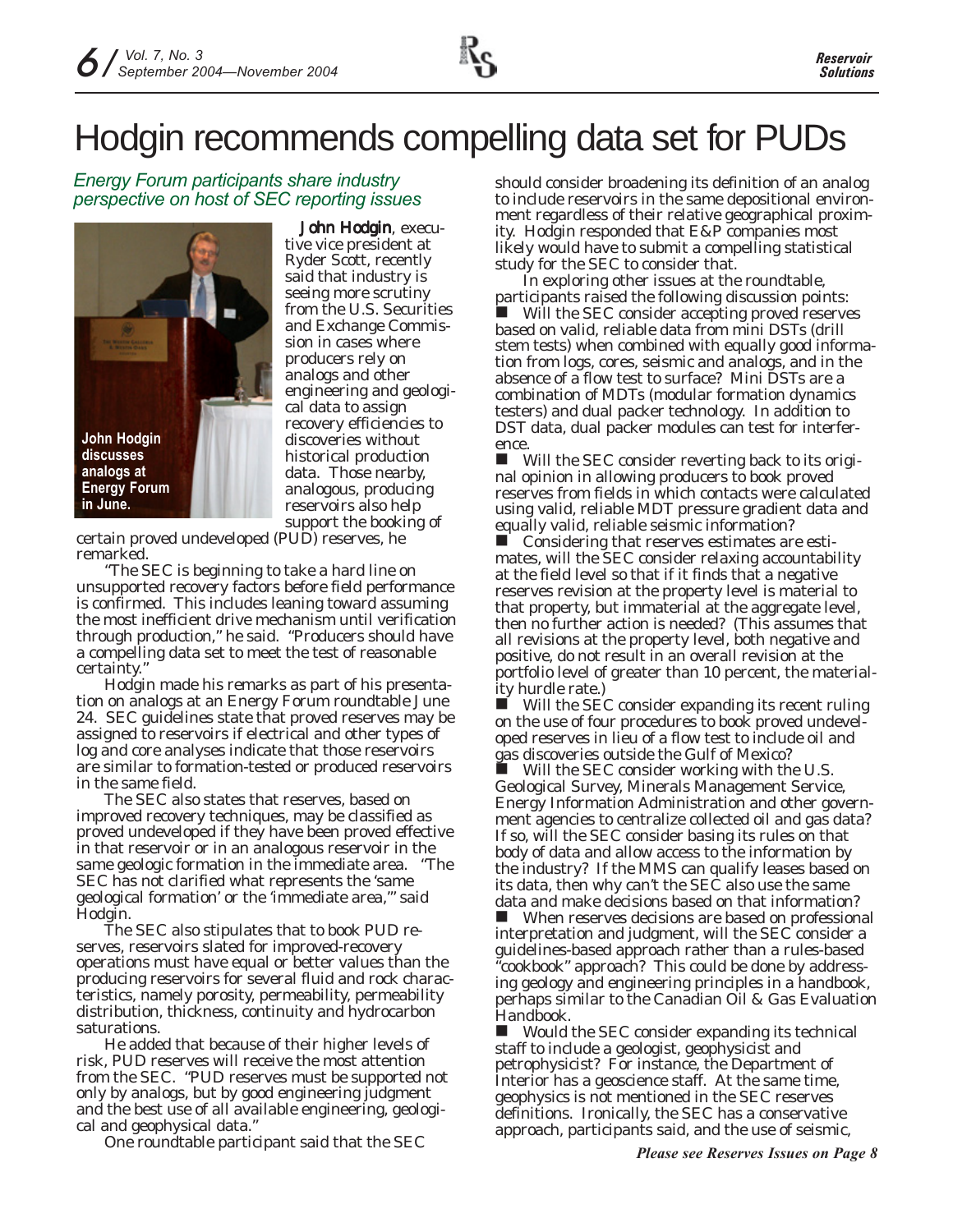# Hodgin recommends compelling data set for PUDs

## *Energy Forum participants share industry perspective on host of SEC reporting issues*



John Hodgin, executive vice president at Ryder Scott, recently said that industry is seeing more scrutiny from the U.S. Securities and Exchange Commission in cases where producers rely on analogs and other engineering and geological data to assign recovery efficiencies to discoveries without historical production data. Those nearby, analogous, producing reservoirs also help support the booking of

certain proved undeveloped (PUD) reserves, he remarked.

"The SEC is beginning to take a hard line on unsupported recovery factors before field performance is confirmed. This includes leaning toward assuming the most inefficient drive mechanism until verification through production," he said. "Producers should have a compelling data set to meet the test of reasonable certainty."

Hodgin made his remarks as part of his presentation on analogs at an Energy Forum roundtable June 24. SEC guidelines state that proved reserves may be assigned to reservoirs if electrical and other types of log and core analyses indicate that those reservoirs are similar to formation-tested or produced reservoirs in the same field.

The SEC also states that reserves, based on improved recovery techniques, may be classified as proved undeveloped if they have been proved effective in that reservoir or in an analogous reservoir in the same geologic formation in the immediate area. "The SEC has not clarified what represents the 'same geological formation' or the 'immediate area,'" said Hodgin.

The SEC also stipulates that to book PUD reserves, reservoirs slated for improved-recovery operations must have equal or better values than the producing reservoirs for several fluid and rock characteristics, namely porosity, permeability, permeability distribution, thickness, continuity and hydrocarbon saturations.

He added that because of their higher levels of risk, PUD reserves will receive the most attention from the SEC. "PUD reserves must be supported not only by analogs, but by good engineering judgment and the best use of all available engineering, geological and geophysical data."

One roundtable participant said that the SEC

should consider broadening its definition of an analog to include reservoirs in the same depositional environment regardless of their relative geographical proximity. Hodgin responded that E&P companies most likely would have to submit a compelling statistical study for the SEC to consider that.

In exploring other issues at the roundtable, participants raised the following discussion points: Will the SEC consider accepting proved reserves based on valid, reliable data from mini DSTs (drill stem tests) when combined with equally good information from logs, cores, seismic and analogs, and in the absence of a flow test to surface? *Mini DSTs are a combination of MDTs (modular formation dynamics testers) and dual packer technology. In addition to DST data, dual packer modules can test for interfer-*

*ence.* Will the SEC consider reverting back to its original opinion in allowing producers to book proved reserves from fields in which contacts were calculated using valid, reliable MDT pressure gradient data and equally valid, reliable seismic information?

 Considering that reserves estimates are estimates, will the SEC consider relaxing accountability at the field level so that if it finds that a negative reserves revision at the property level is material to that property, but immaterial at the aggregate level, then no further action is needed? (This assumes that all revisions at the property level, both negative and positive, do not result in an overall revision at the portfolio level of greater than 10 percent, the materiality hurdle rate.)

 $\blacksquare$  Will the SEC consider expanding its recent ruling on the use of four procedures to book proved undeveloped reserves in lieu of a flow test to include oil and gas discoveries outside the Gulf of Mexico?

Will the SEC consider working with the U.S. Geological Survey, Minerals Management Service, Energy Information Administration and other government agencies to centralize collected oil and gas data? If so, will the SEC consider basing its rules on that body of data and allow access to the information by the industry? If the MMS can qualify leases based on its data, then why can't the SEC also use the same data and make decisions based on that information?

 When reserves decisions are based on professional interpretation and judgment, will the SEC consider a guidelines-based approach rather than a rules-based "cookbook" approach? This could be done by addressing geology and engineering principles in a handbook, perhaps similar to the Canadian Oil & Gas Evaluation Handbook.

 Would the SEC consider expanding its technical staff to include a geologist, geophysicist and petrophysicist? *For instance, the Department of Interior has a geoscience staff. At the same time, geophysics is not mentioned in the SEC reserves definitions. Ironically, the SEC has a conservative approach, participants said, and the use of seismic,*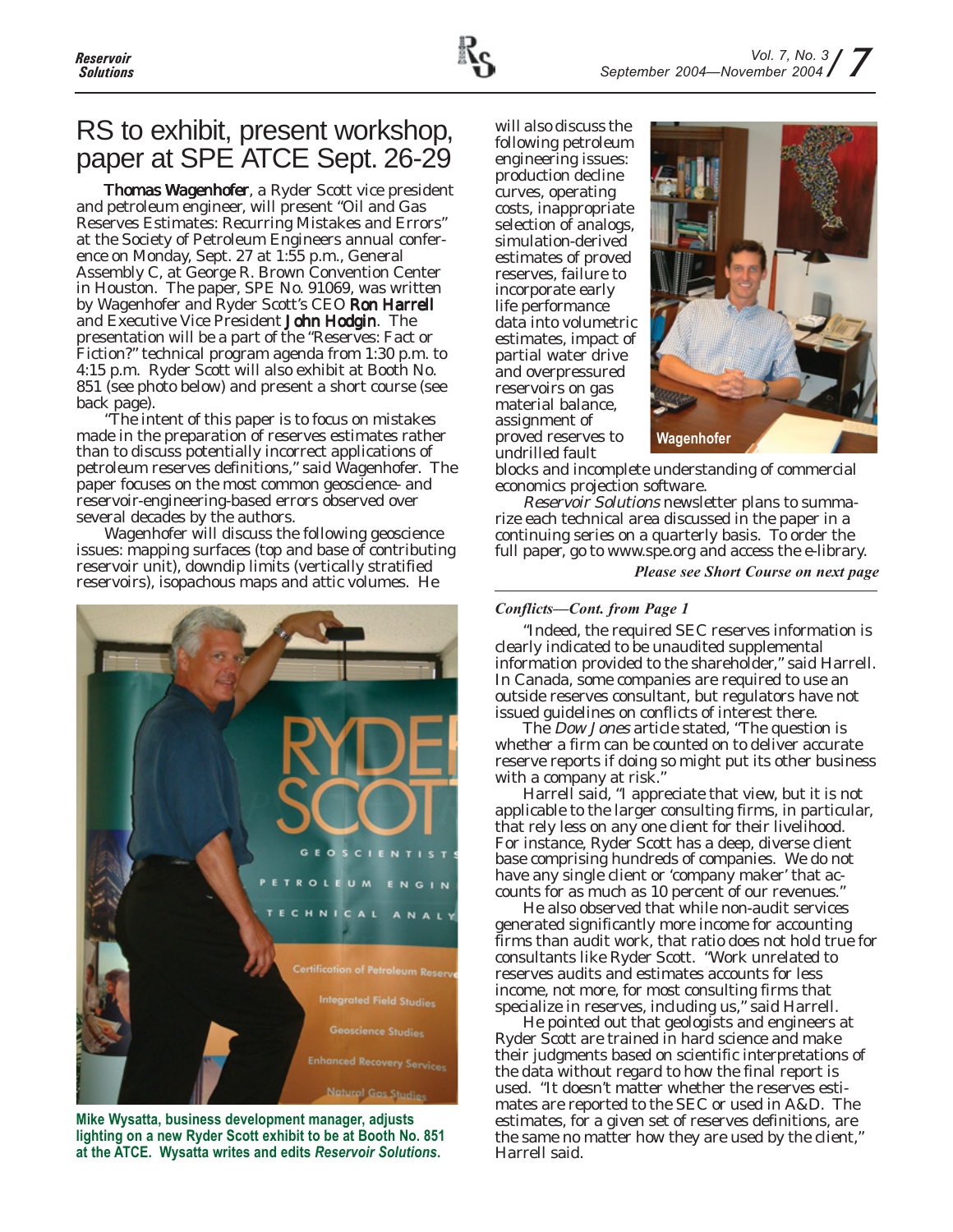

## RS to exhibit, present workshop, paper at SPE ATCE Sept. 26-29

Thomas Wagenhofer, a Ryder Scott vice president and petroleum engineer, will present "Oil and Gas Reserves Estimates: Recurring Mistakes and Errors" at the Society of Petroleum Engineers annual conference on Monday, Sept. 27 at 1:55 p.m., General Assembly C, at George R. Brown Convention Center in Houston. The paper, SPE No. 91069, was written by Wagenhofer and Ryder Scott's CEO Ron Harrell and Executive Vice President John Hodgin. The presentation will be a part of the "Reserves: Fact or Fiction?" technical program agenda from 1:30 p.m. to 4:15 p.m. Ryder Scott will also exhibit at Booth No. 851 (see photo below) and present a short course (see back page).

"The intent of this paper is to focus on mistakes made in the preparation of reserves estimates rather than to discuss potentially incorrect applications of petroleum reserves definitions," said Wagenhofer. The paper focuses on the most common geoscience- and reservoir-engineering-based errors observed over several decades by the authors.

Wagenhofer will discuss the following geoscience issues: mapping surfaces (top and base of contributing reservoir unit), downdip limits (vertically stratified reservoirs), isopachous maps and attic volumes. He



**Mike Wysatta, business development manager, adjusts lighting on a new Ryder Scott exhibit to be at Booth No. 851 at the ATCE. Wysatta writes and edits** *Reservoir Solutions***.**

will also discuss the following petroleum engineering issues: production decline curves, operating costs, inappropriate selection of analogs, simulation-derived estimates of proved reserves, failure to incorporate early life performance data into volumetric estimates, impact of partial water drive and overpressured reservoirs on gas material balance, assignment of proved reserves to undrilled fault



blocks and incomplete understanding of commercial economics projection software.

Reservoir Solutions newsletter plans to summarize each technical area discussed in the paper in a continuing series on a quarterly basis. To order the full paper, go to www.spe.org and access the e-library.

*Please see Short Course on next page*

#### *Conflicts—Cont. from Page 1*

"Indeed, the required SEC reserves information is clearly indicated to be unaudited supplemental information provided to the shareholder," said Harrell. In Canada, some companies are required to use an outside reserves consultant, but regulators have not issued guidelines on conflicts of interest there.

The *Dow Jones* article stated, "The question is whether a firm can be counted on to deliver accurate reserve reports if doing so might put its other business with a company at risk."

Harrell said, "I appreciate that view, but it is not applicable to the larger consulting firms, in particular, that rely less on any one client for their livelihood. For instance, Ryder Scott has a deep, diverse client base comprising hundreds of companies. We do not have any single client or 'company maker' that accounts for as much as 10 percent of our revenues."

He also observed that while non-audit services generated significantly more income for accounting firms than audit work, that ratio does not hold true for consultants like Ryder Scott. "Work unrelated to reserves audits and estimates accounts for less income, not more, for most consulting firms that specialize in reserves, including us," said Harrell.

He pointed out that geologists and engineers at Ryder Scott are trained in hard science and make their judgments based on scientific interpretations of the data without regard to how the final report is used. "It doesn't matter whether the reserves estimates are reported to the SEC or used in A&D. The estimates, for a given set of reserves definitions, are the same no matter how they are used by the client," Harrell said.